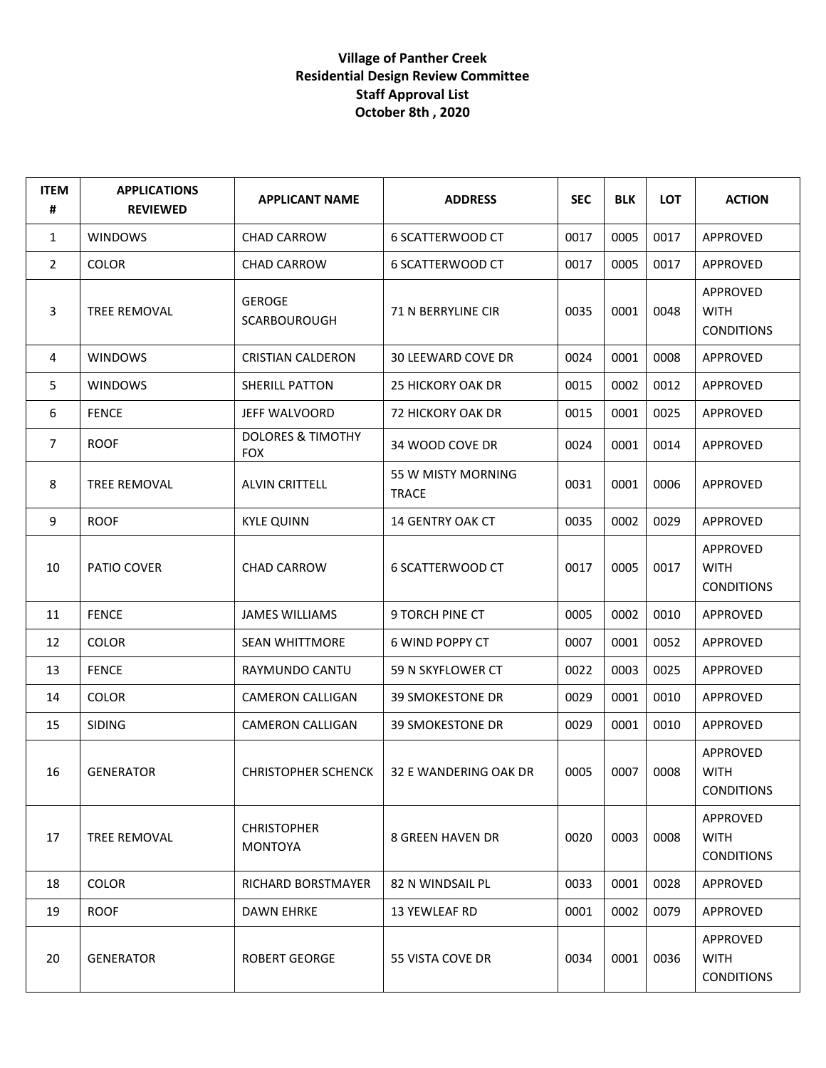## **Village of Panther Creek Residential Design Review Committee Staff Approval List October 8th , 2020**

| <b>ITEM</b><br># | <b>APPLICATIONS</b><br><b>REVIEWED</b> | <b>APPLICANT NAME</b>                      | <b>ADDRESS</b>                     | <b>SEC</b> | <b>BLK</b> | LOT  | <b>ACTION</b>                                |
|------------------|----------------------------------------|--------------------------------------------|------------------------------------|------------|------------|------|----------------------------------------------|
| 1                | <b>WINDOWS</b>                         | <b>CHAD CARROW</b>                         | 6 SCATTERWOOD CT                   | 0017       | 0005       | 0017 | APPROVED                                     |
| $\overline{2}$   | <b>COLOR</b>                           | <b>CHAD CARROW</b>                         | 6 SCATTERWOOD CT                   | 0017       | 0005       | 0017 | APPROVED                                     |
| 3                | <b>TREE REMOVAL</b>                    | <b>GEROGE</b><br><b>SCARBOUROUGH</b>       | <b>71 N BERRYLINE CIR</b>          | 0035       | 0001       | 0048 | APPROVED<br><b>WITH</b><br><b>CONDITIONS</b> |
| 4                | <b>WINDOWS</b>                         | <b>CRISTIAN CALDERON</b>                   | <b>30 LEEWARD COVE DR</b>          | 0024       | 0001       | 0008 | APPROVED                                     |
| 5                | <b>WINDOWS</b>                         | <b>SHERILL PATTON</b>                      | <b>25 HICKORY OAK DR</b>           | 0015       | 0002       | 0012 | APPROVED                                     |
| 6                | <b>FENCE</b>                           | JEFF WALVOORD                              | 72 HICKORY OAK DR                  | 0015       | 0001       | 0025 | APPROVED                                     |
| $\overline{7}$   | <b>ROOF</b>                            | <b>DOLORES &amp; TIMOTHY</b><br><b>FOX</b> | 34 WOOD COVE DR                    | 0024       | 0001       | 0014 | APPROVED                                     |
| 8                | <b>TREE REMOVAL</b>                    | <b>ALVIN CRITTELL</b>                      | 55 W MISTY MORNING<br><b>TRACE</b> | 0031       | 0001       | 0006 | APPROVED                                     |
| 9                | <b>ROOF</b>                            | <b>KYLE QUINN</b>                          | 14 GENTRY OAK CT                   | 0035       | 0002       | 0029 | APPROVED                                     |
| 10               | PATIO COVER                            | <b>CHAD CARROW</b>                         | 6 SCATTERWOOD CT                   | 0017       | 0005       | 0017 | APPROVED<br><b>WITH</b><br><b>CONDITIONS</b> |
| 11               | <b>FENCE</b>                           | <b>JAMES WILLIAMS</b>                      | 9 TORCH PINE CT                    | 0005       | 0002       | 0010 | APPROVED                                     |
| 12               | <b>COLOR</b>                           | <b>SEAN WHITTMORE</b>                      | 6 WIND POPPY CT                    | 0007       | 0001       | 0052 | APPROVED                                     |
| 13               | <b>FENCE</b>                           | RAYMUNDO CANTU                             | 59 N SKYFLOWER CT                  | 0022       | 0003       | 0025 | APPROVED                                     |
| 14               | <b>COLOR</b>                           | <b>CAMERON CALLIGAN</b>                    | <b>39 SMOKESTONE DR</b>            | 0029       | 0001       | 0010 | APPROVED                                     |
| 15               | <b>SIDING</b>                          | CAMERON CALLIGAN                           | <b>39 SMOKESTONE DR</b>            | 0029       | 0001       | 0010 | APPROVED                                     |
| 16               | <b>GENERATOR</b>                       | <b>CHRISTOPHER SCHENCK</b>                 | 32 E WANDERING OAK DR              | 0005       | 0007       | 0008 | APPROVED<br><b>WITH</b><br><b>CONDITIONS</b> |
| 17               | <b>TREE REMOVAL</b>                    | <b>CHRISTOPHER</b><br><b>MONTOYA</b>       | 8 GREEN HAVEN DR                   | 0020       | 0003       | 0008 | APPROVED<br><b>WITH</b><br><b>CONDITIONS</b> |
| 18               | <b>COLOR</b>                           | RICHARD BORSTMAYER                         | 82 N WINDSAIL PL                   | 0033       | 0001       | 0028 | APPROVED                                     |
| 19               | <b>ROOF</b>                            | <b>DAWN EHRKE</b>                          | 13 YEWLEAF RD                      | 0001       | 0002       | 0079 | APPROVED                                     |
| 20               | <b>GENERATOR</b>                       | <b>ROBERT GEORGE</b>                       | 55 VISTA COVE DR                   | 0034       | 0001       | 0036 | APPROVED<br><b>WITH</b><br><b>CONDITIONS</b> |